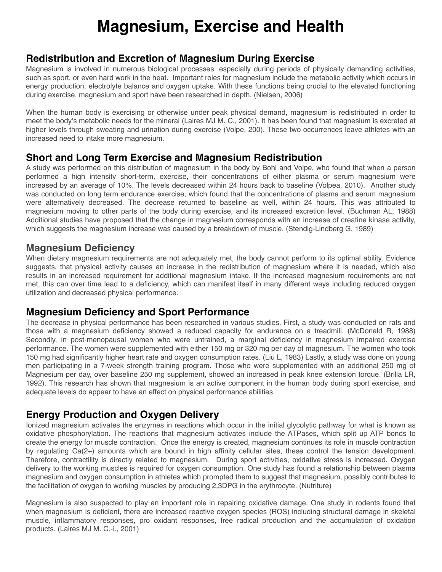# **Magnesium, Exercise and Health**

#### **Redistribution and Excretion of Magnesium During Exercise**

Magnesium is involved in numerous biological processes, especially during periods of physically demanding activities, such as sport, or even hard work in the heat. Important roles for magnesium include the metabolic activity which occurs in energy production, electrolyte balance and oxygen uptake. With these functions being crucial to the elevated functioning during exercise, magnesium and sport have been researched in depth. (Nielsen, 2006)

When the human body is exercising or otherwise under peak physical demand, magnesium is redistributed in order to meet the body's metabolic needs for the mineral (Laires MJ M. C., 2001). It has been found that magnesium is excreted at higher levels through sweating and urination during exercise (Volpe, 200). These two occurrences leave athletes with an increased need to intake more magnesium.

#### **Short and Long Term Exercise and Magnesium Redistribution**

A study was performed on this distribution of magnesium in the body by Bohl and Volpe, who found that when a person performed a high intensity short-term, exercise, their concentrations of either plasma or serum magnesium were increased by an average of 10%. The levels decreased within 24 hours back to baseline (Volpea, 2010). Another study was conducted on long term endurance exercise, which found that the concentrations of plasma and serum magnesium were alternatively decreased. The decrease returned to baseline as well, within 24 hours. This was attributed to magnesium moving to other parts of the body during exercise, and its increased excretion level. (Buchman AL, 1988) Additional studies have proposed that the change in magnesium corresponds with an increase of creatine kinase activity, which suggests the magnesium increase was caused by a breakdown of muscle. (Stendig-Lindberg G, 1989)

#### **Magnesium Deficiency**

When dietary magnesium requirements are not adequately met, the body cannot perform to its optimal ability. Evidence suggests, that physical activity causes an increase in the redistribution of magnesium where it is needed, which also results in an increased requirement for additional magnesium intake. If the increased magnesium requirements are not met, this can over time lead to a deficiency, which can manifest itself in many different ways including reduced oxygen utilization and decreased physical performance.

#### **Magnesium Deficiency and Sport Performance**

The decrease in physical performance has been researched in various studies. First, a study was conducted on rats and those with a magnesium deficiency showed a reduced capacity for endurance on a treadmill. (McDonald R, 1988) Secondly, in post-menopausal women who were untrained, a marginal deficiency in magnesium impaired exercise performance. The women were supplemented with either 150 mg or 320 mg per day of magnesium. The women who took 150 mg had significantly higher heart rate and oxygen consumption rates. (Liu L, 1983) Lastly, a study was done on young men participating in a 7-week strength training program. Those who were supplemented with an additional 250 mg of Magnesium per day, over baseline 250 mg supplement, showed an increased in peak knee extension torque. (Brilla LR, 1992). This research has shown that magnesium is an active component in the human body during sport exercise, and adequate levels do appear to have an effect on physical performance abilities.

#### **Energy Production and Oxygen Delivery**

Ionized magnesium activates the enzymes in reactions which occur in the initial glycolytic pathway for what is known as oxidative phosphorylation. The reactions that magnesium activates include the ATPases, which split up ATP bonds to create the energy for muscle contraction. Once the energy is created, magnesium continues its role in muscle contraction by regulating Ca(2+) amounts which are bound in high affinity cellular sites, these control the tension development. Therefore, contractility is directly related to magnesium. During sport activities, oxidative stress is increased. Oxygen delivery to the working muscles is required for oxygen consumption. One study has found a relationship between plasma magnesium and oxygen consumption in athletes which prompted them to suggest that magnesium, possibly contributes to the facilitation of oxygen to working muscles by producing 2,3DPG in the erythrocyte. (Nutriture)

Magnesium is also suspected to play an important role in repairing oxidative damage. One study in rodents found that when magnesium is deficient, there are increased reactive oxygen species (ROS) including structural damage in skeletal muscle, inflammatory responses, pro oxidant responses, free radical production and the accumulation of oxidation products. (Laires MJ M. C.-i., 2001)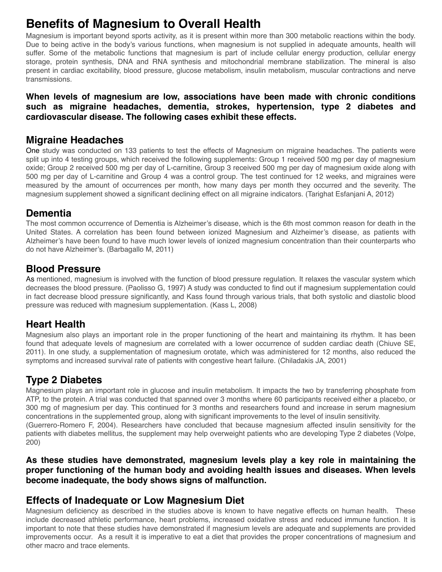## **Benefits of Magnesium to Overall Health**

Magnesium is important beyond sports activity, as it is present within more than 300 metabolic reactions within the body. Due to being active in the body's various functions, when magnesium is not supplied in adequate amounts, health will suffer. Some of the metabolic functions that magnesium is part of include cellular energy production, cellular energy storage, protein synthesis, DNA and RNA synthesis and mitochondrial membrane stabilization. The mineral is also present in cardiac excitability, blood pressure, glucose metabolism, insulin metabolism, muscular contractions and nerve transmissions.

#### **When levels of magnesium are low, associations have been made with chronic conditions such as migraine headaches, dementia, strokes, hypertension, type 2 diabetes and cardiovascular disease. The following cases exhibit these effects.**

#### **Migraine Headaches**

One study was conducted on 133 patients to test the effects of Magnesium on migraine headaches. The patients were split up into 4 testing groups, which received the following supplements: Group 1 received 500 mg per day of magnesium oxide; Group 2 received 500 mg per day of L-carnitine, Group 3 received 500 mg per day of magnesium oxide along with 500 mg per day of L-carnitine and Group 4 was a control group. The test continued for 12 weeks, and migraines were measured by the amount of occurrences per month, how many days per month they occurred and the severity. The magnesium supplement showed a significant declining effect on all migraine indicators. (Tarighat Esfanjani A, 2012)

#### **Dementia**

The most common occurrence of Dementia is Alzheimer's disease, which is the 6th most common reason for death in the United States. A correlation has been found between ionized Magnesium and Alzheimer's disease, as patients with Alzheimer's have been found to have much lower levels of ionized magnesium concentration than their counterparts who do not have Alzheimer's. (Barbagallo M, 2011)

### **Blood Pressure**

As mentioned, magnesium is involved with the function of blood pressure regulation. It relaxes the vascular system which decreases the blood pressure. (Paolisso G, 1997) A study was conducted to find out if magnesium supplementation could in fact decrease blood pressure significantly, and Kass found through various trials, that both systolic and diastolic blood pressure was reduced with magnesium supplementation. (Kass L, 2008)

## **Heart Health**

Magnesium also plays an important role in the proper functioning of the heart and maintaining its rhythm. It has been found that adequate levels of magnesium are correlated with a lower occurrence of sudden cardiac death (Chiuve SE, 2011). In one study, a supplementation of magnesium orotate, which was administered for 12 months, also reduced the symptoms and increased survival rate of patients with congestive heart failure. (Chiladakis JA, 2001)

## **Type 2 Diabetes**

Magnesium plays an important role in glucose and insulin metabolism. It impacts the two by transferring phosphate from ATP, to the protein. A trial was conducted that spanned over 3 months where 60 participants received either a placebo, or 300 mg of magnesium per day. This continued for 3 months and researchers found and increase in serum magnesium concentrations in the supplemented group, along with significant improvements to the level of insulin sensitivity. (Guerrero-Romero F, 2004). Researchers have concluded that because magnesium affected insulin sensitivity for the patients with diabetes mellitus, the supplement may help overweight patients who are developing Type 2 diabetes (Volpe, 200)

**As these studies have demonstrated, magnesium levels play a key role in maintaining the proper functioning of the human body and avoiding health issues and diseases. When levels become inadequate, the body shows signs of malfunction.**

#### **Effects of Inadequate or Low Magnesium Diet**

Magnesium deficiency as described in the studies above is known to have negative effects on human health. These include decreased athletic performance, heart problems, increased oxidative stress and reduced immune function. It is important to note that these studies have demonstrated if magnesium levels are adequate and supplements are provided improvements occur. As a result it is imperative to eat a diet that provides the proper concentrations of magnesium and other macro and trace elements.